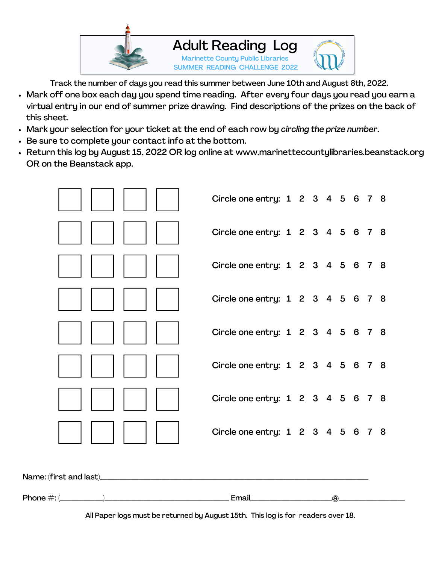

Track the number of days you read this summer between June 10th and August 8th, 2022.

- Mark off one box each day you spend time reading. After every four days you read you earn a virtual entry in our end of summer prize drawing. Find descriptions of the prizes on the back of this sheet.
- Mark your selection for your ticket at the end of each row by *circling the prize number*.
- Be sure to complete your contact info at the bottom.
- Return this log by August 15, 2022 OR log online at www.marinettecountylibraries.beanstack.org OR on the Beanstack app.

|                                 | <b>Email</b> Email                | $\circledR$ |  |  |
|---------------------------------|-----------------------------------|-------------|--|--|
| Name: (first and last)_________ |                                   |             |  |  |
|                                 | Circle one entry: 1 2 3 4 5 6 7 8 |             |  |  |
|                                 | Circle one entry: 1 2 3 4 5 6 7 8 |             |  |  |
|                                 | Circle one entry: 1 2 3 4 5 6 7 8 |             |  |  |
|                                 | Circle one entry: 1 2 3 4 5 6 7 8 |             |  |  |
|                                 | Circle one entry: 1 2 3 4 5 6 7 8 |             |  |  |
|                                 | Circle one entry: 1 2 3 4 5 6 7 8 |             |  |  |
|                                 | Circle one entry: 1 2 3 4 5 6 7 8 |             |  |  |
|                                 | Circle one entry: 1 2 3 4 5 6 7 8 |             |  |  |

All Paper logs must be returned by August 15th. This log is for readers over 18.